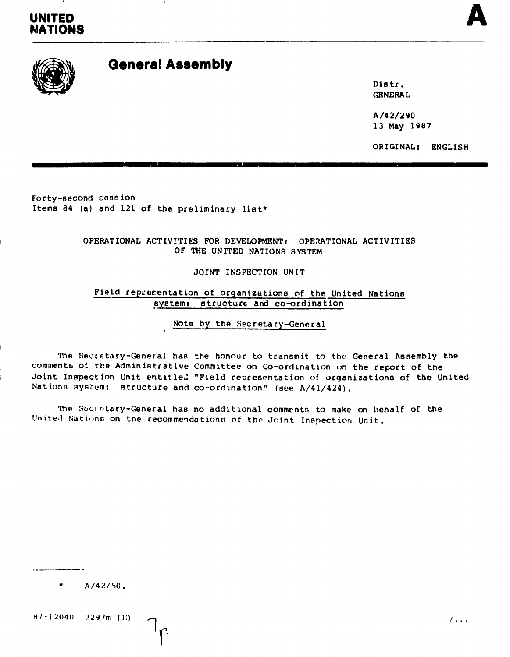## UNITED **IONS**



# **General Assembly**

Distr. **GENERAL** 

A/42/290 13 May 1987

ORIGINAL: ENGLISH

Forty-second session Items 84 (a) and 121 of the preliminary list\*

> OPERATIONAL ACTIVITIES FOR DEVELOPMENT: OPERATIONAL ACTIVITIES OF THE UNITED NATIONS SYSTEM

> > JOINT INSPECTION UNIT

Field representation of organizations of the United Nations system: structure and co-ordination

Note by the Secretary-General

The Secretary-General has the honour to transmit to the General Assembly the comments of the Administrative Committee on Co-ordination on the report of the Joint Inspection Unit entitled "Field representation of organizations of the United Nations system: structure and co-ordination" (see A/41/424).

The Secretary-General has no additional comments to make on behalf of the United Nations on the recommendations of the Joint Inspection Unit.

 $A/42/50$ .

 $B7-12040 - 2297m$  (E)

 $/$  . . .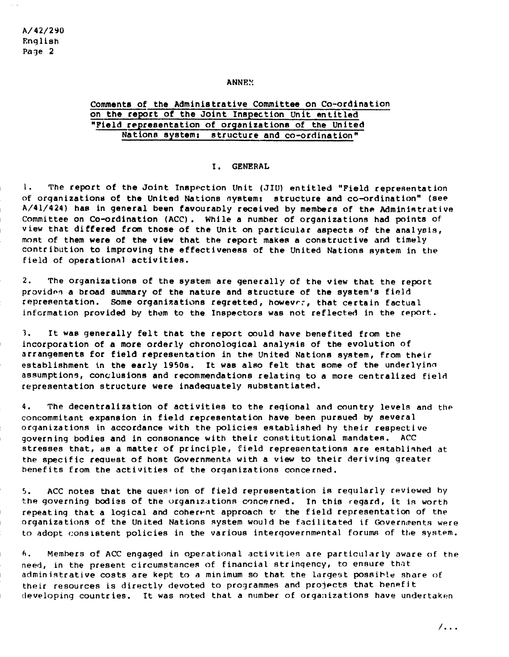A/42/290 English Page 2

### ANNE<sub>2</sub>

### Comments of the Administrative Committee on Co-ordination on the report of the Joint Inspection Unit entitled "Field representation of organizations of the United Nations system: structure and co-ordination"

### I. GENERAL

l. The report of the Joint Inspection Unit (JIU) entitled "Field representation of organizations of the United Nations system: structure and co-ordination" (see  $A/41/424$ ) has in general been favourably received by members of the Administrative Committee on Co-ordination (ACC). While a number of organizations had points of view that differed from those of the Unit on particular aspects of the analysis, most of them were of the view that the report makes a constructive and timely contribution to improving the effectiveness of the United Nations system in the field of operationnl activities.

2. The organizations of the system are generally of the view that the report provides a broad summary of the nature and structure of the system's field representation. Some organizations regretted, however, that certain factual information provided by them to the Inspectors was not reflected in the report.

1. It was generally felt that the report could have benefited from the incorporation of a more orderly chronological analysis of the evolution of arrangements for field representation in the United Nations system, from their establishment in the early 1950s. It was also felt that some of the underlyino assumptions, conclusions and recommendations relating to a more centralized field representation structure were inadequately substantiated.

4. The decentralization of activities to the regional and country levels and the concommitant expansion in field repcesentation have been pursued by several organizations in accordance with the policies established hy their respective governing bodies and in consonance with their constitutional mandates. ACC stresses that, as a matter of principle, field representations are established at the specific request of host Governments with a view to their deriving greater benefits from the activities of the organizations concerned.

 $5.$  ACC notes that the question of field representation is regularly reviewed by the governing bodies of the organizations concerned. In this regard, it is worth repeating that a logical and coherent approach to the field representation of the organizations of the United Nations system would be facilitated if Governments were to adopt consistent policies in the various intergovernmental forums of the system.

6. Members of ACC engaged in operational activities are particularly aware of the need, in the present circumstances of financial stringency, to ensure that admin istrative costs are kept to a minimum so that the largest possible share of their resources is directly devoted to programmes and projects that benefit developing countries. It was noted that a number of organizations have undertaken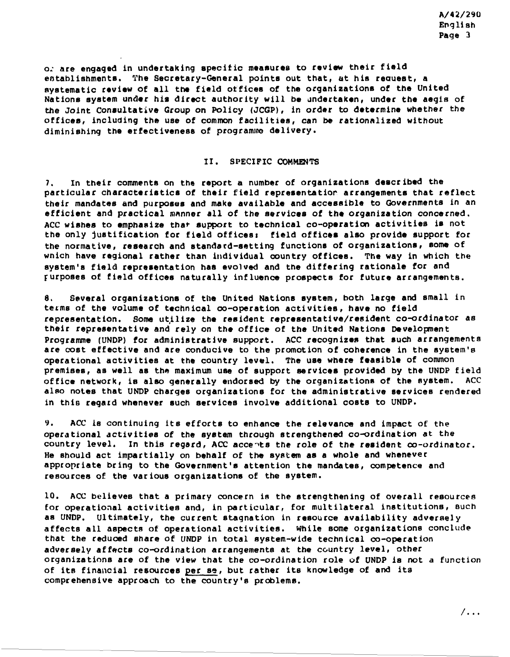o. are engaged in undertaking specific measures to review their field establishments. The Secretary-General points out that, at his request, a systematic review of all the field ottices of the organizations of the United Nations system under his direct authority will be undertaken, under the aegis of the Joint Consultative Group on Policy (JCGP), in order to determine whether the offices, including the use of common facilities, can be rationalized without diminishing the effectiveness of programme delivery.

### 1I. SPECIFIC COMMENTS

7. In their comments on the report a number of organizations described the particular characteristics of their field representatior arrangements that reflect their mandates and purposes and make available and accessible to Governments in an efficient and practical manner all of the services of the organization concerned. ACC wishes to emphasize thar support to technical co-operation activities is not the only justification for field offices: field offices also provide support for the normative, research and standard-setting functions of organizations, Borne of wnich have regional rather than individual country offices. The way in which the system's field representation has evolved and the differing rationale for and furposes of field offices naturally influence prospects for future arrangements.

8. Several organizations of the United Nations system, both large and small in tefms of the volume of technical co-operation activities, have no field representation. Some utilize the resident representative/resident co-ordinator as their representative and rely on the office of the United Nations Development Programme (UNDP) for administrative support. ACC recognizes that such arrangements are cost effective and are conducive to the promotion of coherence in the system'e operational activities at the country level. The use where feasible of common premises, as well as the maximum use of support services provided by the UNDP field office network, is also generally endorsed by the organizations of the system. ACC also notes that UNDP charges organizations for the administrative services rendered in this regatd whenever such services involve additional costs to UNDP.

9. ACC Is continuing its efforts to enhance the relevance and impact of the operational activities of the system through strengthened co-ordination at the country level. In this regard, ACC accents the role of the resident co-ordinator. He should act impartially on behalf of the system as a whole and whenever appropriate bring to the Government's attention the mandates, competence and resources of the various organizations of the system.

10. ACC believes that a primary concern is the strengthening of overall resources for operational activities and, in particular, for multilateral institutions, such as UNDP. Ultimately, the current stagnation in resource availability adversely affects all aspects of operational activities. While some organizations conclude that the reduced share of UNDP in total system-wide technical co-operation adversely affects co-ordination arrangements at the country level, other organizations are of the view that the co-ordination role of UNDP is not a function of its financial resources per se, but rather its knowledge of and its comprehensive approach to the country's problems.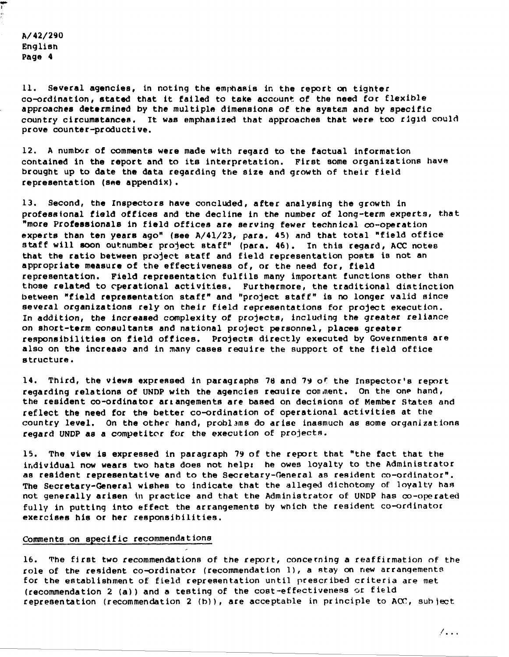A/42/290 English Page 4

... I

> 11. Several agencies, 1n noting the emphasis in the report on tighter co-ordination, stated that it failed to take account of the need for flexible approaches determined by the multiple dimensions of the system and by specific country circumstances. It was emphasized that approaches that were too rigid could prove counter-productive.

12. A number of comments were made with regard to the factual information contained in the report and to its interpretation. First some organizations have brought up to date the data regarding the size and growth of their field  $representation$  (see appendix).

13. Second, the Inspectors have concluded, after analysing the growth in professional field offices and the decline in the number of long-term experts, that "more Professionals in field offices are serving fewer technical co-operation experts than ten years ago" (see A/4l/23, para. 45) and that total "field office staff will soon outnumber project Btaff" (para. 46). In this regard, ACC notes that the ratio between project Btaff and field representation posts is not an appropriate measure of the effectiveness of, or the need for, field representation. Field representation fulfils many important functions other than those related to operational activities. Furthermore, the traditional distinction between "field representation staff" and "project staff" is no longer valid since several organizations rely on their field representations for project execution. In addition, the increased complexity of projects, including the greater reliance on short-term consultants and national project personnel, places greater responsibilities on field offices. Projecte directly executed by Governments are also on the increase and in many cases require the support of the field office structure.

14. Third, the views expressed in paragraphs 78 and 79 of the Inspector's report regarding relations of UNDP with the agencies reauire con,nent. On the one hand, the resident co-ordinator arLangements are based on decisions of Member States and reflect the need for the better co-ordination of operational activities at the country level. On the other hand, problams do arise inasmuch as some organizations regard UNDP as a competitor for the execution of projects.

15. The view is expressed in paragraph 79 of the report that "the fact that the individual now wears two hats does not help: he owes loyalty to the Administrator as resident representative and to the Secretary-Oeneral as resident co-ordinator". The Secretary-General wishes to indicate that the alleged dichotomy of loyalty haa not generally arisen in practice and that the Administrator of UNDP has co-operated fully in putting into effect the arrangements by Which the resident co-ordinator exercises his or her responsibilities.

### Comments on specific recommendations

16. The first two recommendations of the report, concerning a reaffirmation of the role of the resident co-ordinator (recommendation 1), a stay on new arrangements for the establishment of field representation until prescribed criteria are met (recommendation 2 (a)) and a testing of the cost-effectiveness or field representation (recommendation 2 (b)), are acceptable in principle to ACC, subject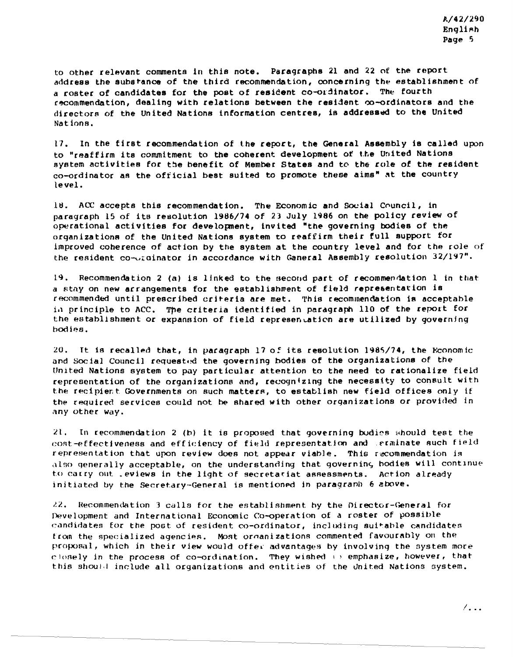to other relevant comments in this note. Paragraphs 21 and 22 of the report address the substance of the third recommendation, concerning the establishment of a roster of candidates for the post of resident co-ordinator. The fourth recommendation, dealing with relations between the resident co-ordinators and the directors of the United Nations information centres, is addressed to the United Nations.

17. In the first recommendation of the report, the General Assembly is called upon to "reaffirm its commitment to the coherent development of the United Nations system activities for the benefit of Member States and to the role of the resident co-ordinator as the official best suited to promote these aims" at the country level.

18. ACC accepts this recommendation. The Economic and Social Council, in paragraph 15 of its resolution 1986/74 of 23 July 1986 on the policy review of operational activities for development, invited "the governing bodies of the organizations of the United Nations system to reaffirm their full support for improved coherence of action by the system at the country level and for the role of the resident co-ordinator in accordance with Ganeral Assembly resolution 32/197".

19. Recommendation 2 (a) is linked to the second part of recommendation 1 in that a stay on new arrangements for the establishment of field representation is recommended until prescribed criteria are met. This recommendation is acceptable in principle to ACC. The criteria identified in paragraph 110 of the report for the establishment or expansion of field representation are utilized by governing bodies.

20. It is recalled that, in paragraph 17 of its resolution 1985/74, the Economic and Social Council requested the governing bodies of the organizations of the United Nations system to pay particular attention to the need to rationalize field representation of the organizations and, recognizing the necessity to consult with the recipient Governments on such matters, to establish new field offices only if the required services could not be shared with other organizations or provided in any other way.

 $21.$ In recommendation 2 (b) it is proposed that governing bodies should test the cost-effectiveness and efficiency of field representation and erminate such field representation that upon review does not appear viable. This recommendation is also generally acceptable, on the understanding that governing bodies will continue to carry out leviews in the light of secretariat assessments. Action already initiated by the Secretary-General is mentioned in paragraph 6 above.

 $22.7$ Recommendation 3 calls for the establishment by the Director-General for Development and International Economic Co-operation of a roster of possible candidates for the post of resident co-ordinator, including suitable candidates from the specialized agencies. Most organizations commented favourably on the proposal, which in their view would offer advantages by involving the system more closely in the process of co-ordination. They wished  $\mapsto$  emphasize, however, that this should include all organizations and entities of the United Nations system.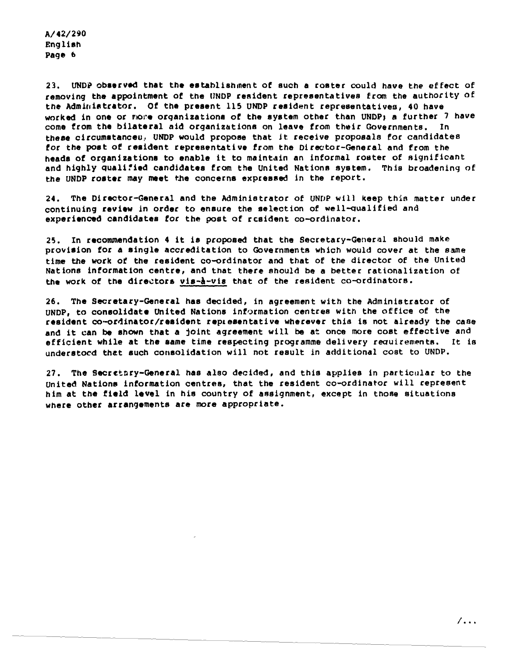$A/42/290$ English Page 6

UNDP observed that the establishment of such a roster could have the effect of 23. removing the appointment of the UNDP resident representatives from the authority of the Adminiatrator. Of the present 115 UNDP resident representatives, 40 have worked in one or more organizations of the system other than UNDP; a further 7 have come from the bilateral aid organizations on leave from their Governments. In these circumstances, UNDP would propose that it receive proposals for candidates for the post of resident representative from the Director-General and from the heads of organizations to enable it to maintain an informal roster of significant and highly qualified candidates from the United Nations system. This broadening of the UNDP roster may meet the concerns expressed in the report.

24. The Director-General and the Administrator of UNDP will keep this matter under continuing review in order to ensure the selection of well-qualified and experienced candidates for the post of resident co-ordinator.

In recommendation 4 it is proposed that the Secretary-General should make  $25.$ provision for a single accreditation to Governments which would cover at the same time the work of the resident co-ordinator and that of the director of the United Nations information centre, and that there should be a better rationalization of the work of the directors vis-à-vis that of the resident co-ordinators.

26. The Secretary-General has decided, in agreement with the Administrator of UNDP, to consolidate United Nations information centres with the office of the resident co-ordinator/resident representative wherever this is not already the case and it can be shown that a joint agreement will be at once more cost effective and efficient while at the same time respecting programme delivery requirements. It is understocd that such consolidation will not result in additional cost to UNDP.

27. The Secretary-General has also decided, and this applies in particular to the United Nations information centres, that the resident co-ordinator will represent him at the field level in his country of assignment, except in those situations where other arrangements are more appropriate.